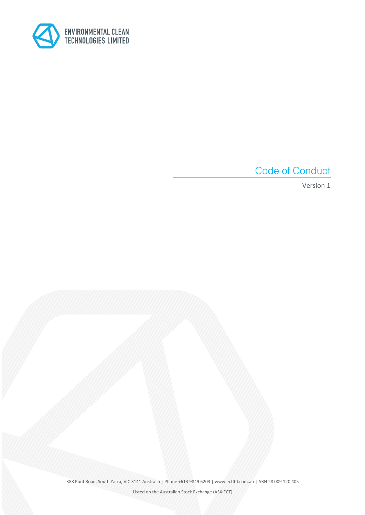

Code of Conduct

Version 1

388 Punt Road, South Yarra, VIC 3141 Australia | Phone +613 9849 6203 | www.ectltd.com.au | ABN 28 009 120 405

Listed on the Australian Stock Exchange (ASX:ECT)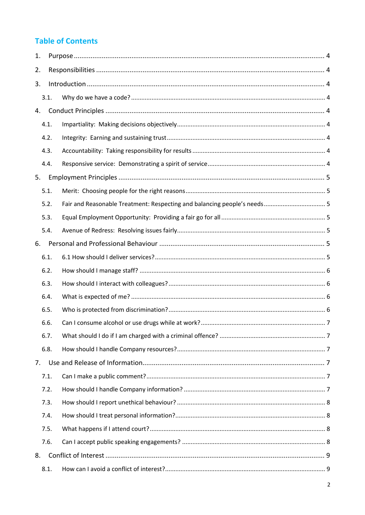# **Table of Contents**

| 1. |      |                                                                          |  |
|----|------|--------------------------------------------------------------------------|--|
| 2. |      |                                                                          |  |
| 3. |      |                                                                          |  |
|    | 3.1. |                                                                          |  |
| 4. |      |                                                                          |  |
|    | 4.1. |                                                                          |  |
|    | 4.2. |                                                                          |  |
|    | 4.3. |                                                                          |  |
|    | 4.4. |                                                                          |  |
| 5. |      |                                                                          |  |
|    | 5.1. |                                                                          |  |
|    | 5.2. | Fair and Reasonable Treatment: Respecting and balancing people's needs 5 |  |
|    | 5.3. |                                                                          |  |
|    | 5.4. |                                                                          |  |
| 6. |      |                                                                          |  |
|    | 6.1. |                                                                          |  |
|    | 6.2. |                                                                          |  |
|    | 6.3. |                                                                          |  |
|    | 6.4. |                                                                          |  |
|    | 6.5. |                                                                          |  |
|    | 6.6. |                                                                          |  |
|    | 6.7. |                                                                          |  |
|    | 6.8. |                                                                          |  |
| 7. |      |                                                                          |  |
|    | 7.1. |                                                                          |  |
|    | 7.2. |                                                                          |  |
|    | 7.3. |                                                                          |  |
|    | 7.4. |                                                                          |  |
|    | 7.5. |                                                                          |  |
|    | 7.6. |                                                                          |  |
| 8. |      |                                                                          |  |
|    | 8.1. |                                                                          |  |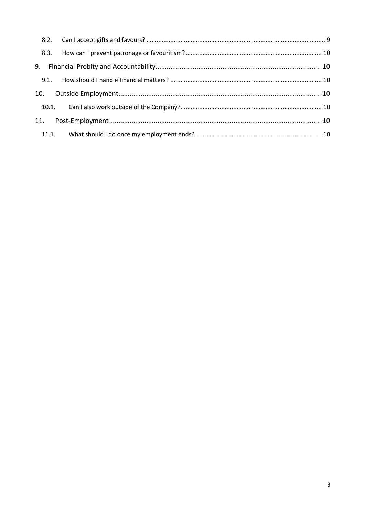| 11. |  |
|-----|--|
|     |  |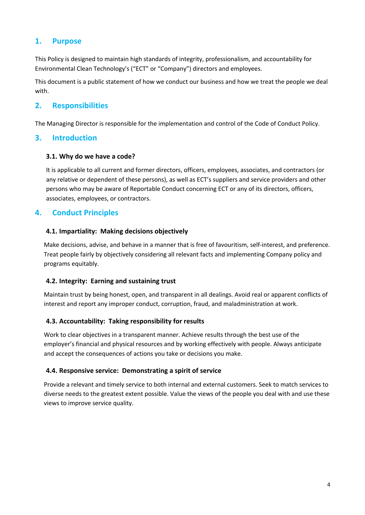# **1. Purpose**

This Policy is designed to maintain high standards of integrity, professionalism, and accountability for Environmental Clean Technology's ("ECT" or "Company") directors and employees.

This document is a public statement of how we conduct our business and how we treat the people we deal with.

# **2. Responsibilities**

The Managing Director is responsible for the implementation and control of the Code of Conduct Policy.

### **3. Introduction**

#### **3.1. Why do we have a code?**

It is applicable to all current and former directors, officers, employees, associates, and contractors (or any relative or dependent of these persons), as well as ECT's suppliers and service providers and other persons who may be aware of Reportable Conduct concerning ECT or any of its directors, officers, associates, employees, or contractors.

# **4. Conduct Principles**

#### **4.1. Impartiality: Making decisions objectively**

Make decisions, advise, and behave in a manner that is free of favouritism, self-interest, and preference. Treat people fairly by objectively considering all relevant facts and implementing Company policy and programs equitably.

### **4.2. Integrity: Earning and sustaining trust**

Maintain trust by being honest, open, and transparent in all dealings. Avoid real or apparent conflicts of interest and report any improper conduct, corruption, fraud, and maladministration at work.

### **4.3. Accountability: Taking responsibility for results**

Work to clear objectives in a transparent manner. Achieve results through the best use of the employer's financial and physical resources and by working effectively with people. Always anticipate and accept the consequences of actions you take or decisions you make.

#### **4.4. Responsive service: Demonstrating a spirit of service**

Provide a relevant and timely service to both internal and external customers. Seek to match services to diverse needs to the greatest extent possible. Value the views of the people you deal with and use these views to improve service quality.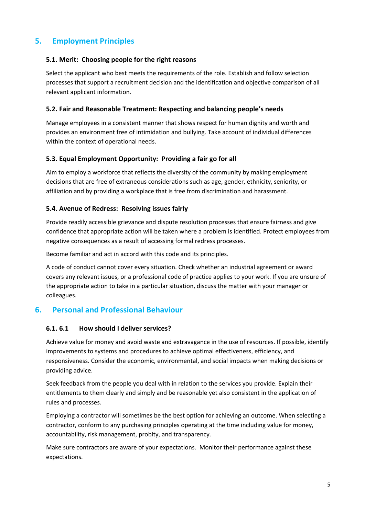# **5. Employment Principles**

#### **5.1. Merit: Choosing people for the right reasons**

Select the applicant who best meets the requirements of the role. Establish and follow selection processes that support a recruitment decision and the identification and objective comparison of all relevant applicant information.

#### **5.2. Fair and Reasonable Treatment: Respecting and balancing people's needs**

Manage employees in a consistent manner that shows respect for human dignity and worth and provides an environment free of intimidation and bullying. Take account of individual differences within the context of operational needs.

#### **5.3. Equal Employment Opportunity: Providing a fair go for all**

Aim to employ a workforce that reflects the diversity of the community by making employment decisions that are free of extraneous considerations such as age, gender, ethnicity, seniority, or affiliation and by providing a workplace that is free from discrimination and harassment.

#### **5.4. Avenue of Redress: Resolving issues fairly**

Provide readily accessible grievance and dispute resolution processes that ensure fairness and give confidence that appropriate action will be taken where a problem is identified. Protect employees from negative consequences as a result of accessing formal redress processes.

Become familiar and act in accord with this code and its principles.

A code of conduct cannot cover every situation. Check whether an industrial agreement or award covers any relevant issues, or a professional code of practice applies to your work. If you are unsure of the appropriate action to take in a particular situation, discuss the matter with your manager or colleagues.

### **6. Personal and Professional Behaviour**

#### **6.1. 6.1 How should I deliver services?**

Achieve value for money and avoid waste and extravagance in the use of resources. If possible, identify improvements to systems and procedures to achieve optimal effectiveness, efficiency, and responsiveness. Consider the economic, environmental, and social impacts when making decisions or providing advice.

Seek feedback from the people you deal with in relation to the services you provide. Explain their entitlements to them clearly and simply and be reasonable yet also consistent in the application of rules and processes.

Employing a contractor will sometimes be the best option for achieving an outcome. When selecting a contractor, conform to any purchasing principles operating at the time including value for money, accountability, risk management, probity, and transparency.

Make sure contractors are aware of your expectations. Monitor their performance against these expectations.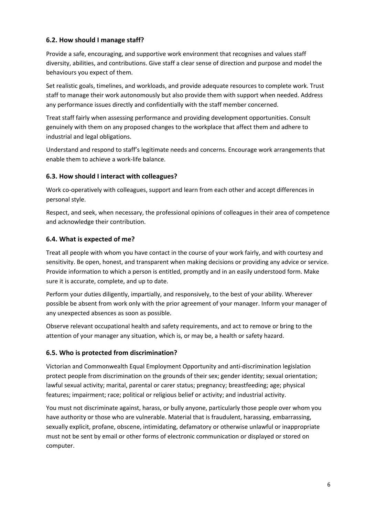### **6.2. How should I manage staff?**

Provide a safe, encouraging, and supportive work environment that recognises and values staff diversity, abilities, and contributions. Give staff a clear sense of direction and purpose and model the behaviours you expect of them.

Set realistic goals, timelines, and workloads, and provide adequate resources to complete work. Trust staff to manage their work autonomously but also provide them with support when needed. Address any performance issues directly and confidentially with the staff member concerned.

Treat staff fairly when assessing performance and providing development opportunities. Consult genuinely with them on any proposed changes to the workplace that affect them and adhere to industrial and legal obligations.

Understand and respond to staff's legitimate needs and concerns. Encourage work arrangements that enable them to achieve a work-life balance.

### **6.3. How should I interact with colleagues?**

Work co-operatively with colleagues, support and learn from each other and accept differences in personal style.

Respect, and seek, when necessary, the professional opinions of colleagues in their area of competence and acknowledge their contribution.

### **6.4. What is expected of me?**

Treat all people with whom you have contact in the course of your work fairly, and with courtesy and sensitivity. Be open, honest, and transparent when making decisions or providing any advice or service. Provide information to which a person is entitled, promptly and in an easily understood form. Make sure it is accurate, complete, and up to date.

Perform your duties diligently, impartially, and responsively, to the best of your ability. Wherever possible be absent from work only with the prior agreement of your manager. Inform your manager of any unexpected absences as soon as possible.

Observe relevant occupational health and safety requirements, and act to remove or bring to the attention of your manager any situation, which is, or may be, a health or safety hazard.

### **6.5. Who is protected from discrimination?**

Victorian and Commonwealth Equal Employment Opportunity and anti-discrimination legislation protect people from discrimination on the grounds of their sex; gender identity; sexual orientation; lawful sexual activity; marital, parental or carer status; pregnancy; breastfeeding; age; physical features; impairment; race; political or religious belief or activity; and industrial activity.

You must not discriminate against, harass, or bully anyone, particularly those people over whom you have authority or those who are vulnerable. Material that is fraudulent, harassing, embarrassing, sexually explicit, profane, obscene, intimidating, defamatory or otherwise unlawful or inappropriate must not be sent by email or other forms of electronic communication or displayed or stored on computer.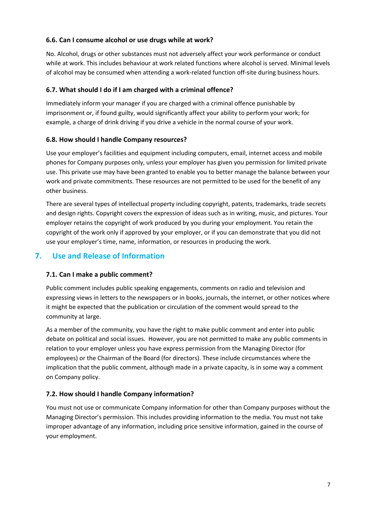### **6.6. Can I consume alcohol or use drugs while at work?**

No. Alcohol, drugs or other substances must not adversely affect your work performance or conduct while at work. This includes behaviour at work related functions where alcohol is served. Minimal levels of alcohol may be consumed when attending a work-related function off-site during business hours.

### **6.7. What should I do if I am charged with a criminal offence?**

Immediately inform your manager if you are charged with a criminal offence punishable by imprisonment or, if found guilty, would significantly affect your ability to perform your work; for example, a charge of drink driving if you drive a vehicle in the normal course of your work.

### **6.8. How should I handle Company resources?**

Use your employer's facilities and equipment including computers, email, internet access and mobile phones for Company purposes only, unless your employer has given you permission for limited private use. This private use may have been granted to enable you to better manage the balance between your work and private commitments. These resources are not permitted to be used for the benefit of any other business.

There are several types of intellectual property including copyright, patents, trademarks, trade secrets and design rights. Copyright covers the expression of ideas such as in writing, music, and pictures. Your employer retains the copyright of work produced by you during your employment. You retain the copyright of the work only if approved by your employer, or if you can demonstrate that you did not use your employer's time, name, information, or resources in producing the work.

# **7. Use and Release of Information**

# **7.1. Can I make a public comment?**

Public comment includes public speaking engagements, comments on radio and television and expressing views in letters to the newspapers or in books, journals, the internet, or other notices where it might be expected that the publication or circulation of the comment would spread to the community at large.

As a member of the community, you have the right to make public comment and enter into public debate on political and social issues. However, you are not permitted to make any public comments in relation to your employer unless you have express permission from the Managing Director (for employees) or the Chairman of the Board (for directors). These include circumstances where the implication that the public comment, although made in a private capacity, is in some way a comment on Company policy.

# **7.2. How should I handle Company information?**

You must not use or communicate Company information for other than Company purposes without the Managing Director's permission. This includes providing information to the media. You must not take improper advantage of any information, including price sensitive information, gained in the course of your employment.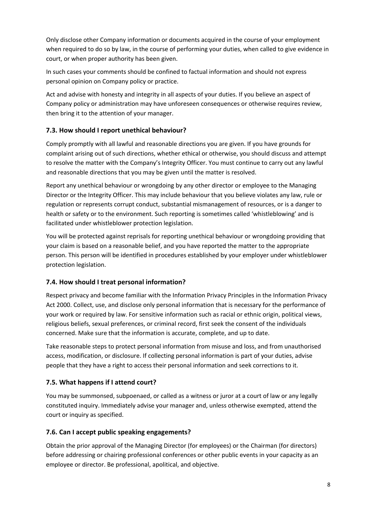Only disclose other Company information or documents acquired in the course of your employment when required to do so by law, in the course of performing your duties, when called to give evidence in court, or when proper authority has been given.

In such cases your comments should be confined to factual information and should not express personal opinion on Company policy or practice.

Act and advise with honesty and integrity in all aspects of your duties. If you believe an aspect of Company policy or administration may have unforeseen consequences or otherwise requires review, then bring it to the attention of your manager.

# **7.3. How should I report unethical behaviour?**

Comply promptly with all lawful and reasonable directions you are given. If you have grounds for complaint arising out of such directions, whether ethical or otherwise, you should discuss and attempt to resolve the matter with the Company's Integrity Officer. You must continue to carry out any lawful and reasonable directions that you may be given until the matter is resolved.

Report any unethical behaviour or wrongdoing by any other director or employee to the Managing Director or the Integrity Officer. This may include behaviour that you believe violates any law, rule or regulation or represents corrupt conduct, substantial mismanagement of resources, or is a danger to health or safety or to the environment. Such reporting is sometimes called 'whistleblowing' and is facilitated under whistleblower protection legislation.

You will be protected against reprisals for reporting unethical behaviour or wrongdoing providing that your claim is based on a reasonable belief, and you have reported the matter to the appropriate person. This person will be identified in procedures established by your employer under whistleblower protection legislation.

### **7.4. How should I treat personal information?**

Respect privacy and become familiar with the Information Privacy Principles in the Information Privacy Act 2000. Collect, use, and disclose only personal information that is necessary for the performance of your work or required by law. For sensitive information such as racial or ethnic origin, political views, religious beliefs, sexual preferences, or criminal record, first seek the consent of the individuals concerned. Make sure that the information is accurate, complete, and up to date.

Take reasonable steps to protect personal information from misuse and loss, and from unauthorised access, modification, or disclosure. If collecting personal information is part of your duties, advise people that they have a right to access their personal information and seek corrections to it.

### **7.5. What happens if I attend court?**

You may be summonsed, subpoenaed, or called as a witness or juror at a court of law or any legally constituted inquiry. Immediately advise your manager and, unless otherwise exempted, attend the court or inquiry as specified.

### **7.6. Can I accept public speaking engagements?**

Obtain the prior approval of the Managing Director (for employees) or the Chairman (for directors) before addressing or chairing professional conferences or other public events in your capacity as an employee or director. Be professional, apolitical, and objective.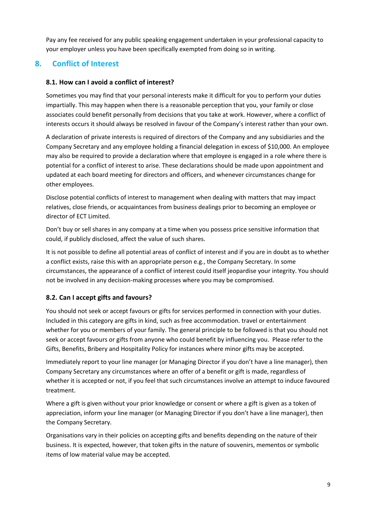Pay any fee received for any public speaking engagement undertaken in your professional capacity to your employer unless you have been specifically exempted from doing so in writing.

# **8. Conflict of Interest**

### **8.1. How can I avoid a conflict of interest?**

Sometimes you may find that your personal interests make it difficult for you to perform your duties impartially. This may happen when there is a reasonable perception that you, your family or close associates could benefit personally from decisions that you take at work. However, where a conflict of interests occurs it should always be resolved in favour of the Company's interest rather than your own.

A declaration of private interests is required of directors of the Company and any subsidiaries and the Company Secretary and any employee holding a financial delegation in excess of \$10,000. An employee may also be required to provide a declaration where that employee is engaged in a role where there is potential for a conflict of interest to arise. These declarations should be made upon appointment and updated at each board meeting for directors and officers, and whenever circumstances change for other employees.

Disclose potential conflicts of interest to management when dealing with matters that may impact relatives, close friends, or acquaintances from business dealings prior to becoming an employee or director of ECT Limited.

Don't buy or sell shares in any company at a time when you possess price sensitive information that could, if publicly disclosed, affect the value of such shares.

It is not possible to define all potential areas of conflict of interest and if you are in doubt as to whether a conflict exists, raise this with an appropriate person e.g., the Company Secretary. In some circumstances, the appearance of a conflict of interest could itself jeopardise your integrity. You should not be involved in any decision-making processes where you may be compromised.

# **8.2. Can I accept gifts and favours?**

You should not seek or accept favours or gifts for services performed in connection with your duties. Included in this category are gifts in kind, such as free accommodation. travel or entertainment whether for you or members of your family. The general principle to be followed is that you should not seek or accept favours or gifts from anyone who could benefit by influencing you. Please refer to the Gifts, Benefits, Bribery and Hospitality Policy for instances where minor gifts may be accepted.

Immediately report to your line manager (or Managing Director if you don't have a line manager), then Company Secretary any circumstances where an offer of a benefit or gift is made, regardless of whether it is accepted or not, if you feel that such circumstances involve an attempt to induce favoured treatment.

Where a gift is given without your prior knowledge or consent or where a gift is given as a token of appreciation, inform your line manager (or Managing Director if you don't have a line manager), then the Company Secretary.

Organisations vary in their policies on accepting gifts and benefits depending on the nature of their business. It is expected, however, that token gifts in the nature of souvenirs, mementos or symbolic items of low material value may be accepted.